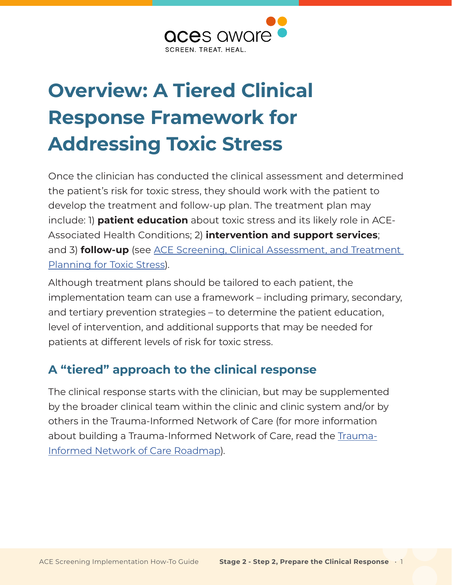

# **Overview: A Tiered Clinical Response Framework for Addressing Toxic Stress**

Once the clinician has conducted the clinical assessment and determined the patient's risk for toxic stress, they should work with the patient to develop the treatment and follow-up plan. The treatment plan may include: 1) **patient education** about toxic stress and its likely role in ACE-Associated Health Conditions; 2) **intervention and support services**; and 3) **follow-up** (see [ACE Screening, Clinical Assessment, and Treatment](https://www.acesaware.org/wp-content/uploads/2021/09/ACE-Screening-Clinical-Assessment-and-Treatment-Planning-for-Toxic-Stress.pdf)  [Planning for Toxic Stress](https://www.acesaware.org/wp-content/uploads/2021/09/ACE-Screening-Clinical-Assessment-and-Treatment-Planning-for-Toxic-Stress.pdf)).

Although treatment plans should be tailored to each patient, the implementation team can use a framework – including primary, secondary, and tertiary prevention strategies – to determine the patient education, level of intervention, and additional supports that may be needed for patients at different levels of risk for toxic stress.

# **A "tiered" approach to the clinical response**

The clinical response starts with the clinician, but may be supplemented by the broader clinical team within the clinic and clinic system and/or by others in the Trauma-Informed Network of Care (for more information about building a Trauma-Informed Network of Care, read the [Trauma-](http://www.acesaware.org/network-of-care)[Informed Network of Care Roadmap](http://www.acesaware.org/network-of-care)).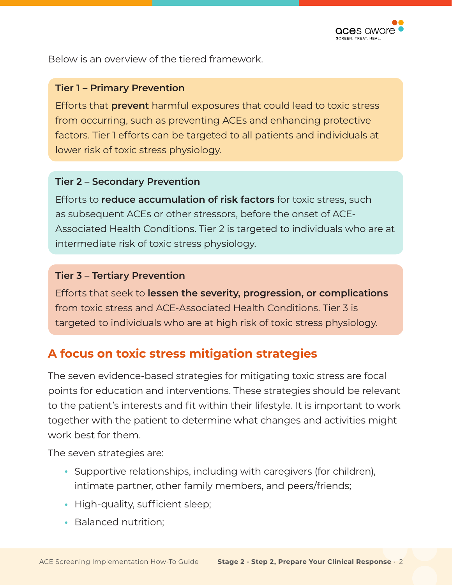

Below is an overview of the tiered framework.

#### **Tier 1 – Primary Prevention**

Efforts that **prevent** harmful exposures that could lead to toxic stress from occurring, such as preventing ACEs and enhancing protective factors. Tier 1 efforts can be targeted to all patients and individuals at lower risk of toxic stress physiology.

#### **Tier 2 – Secondary Prevention**

Efforts to **reduce accumulation of risk factors** for toxic stress, such as subsequent ACEs or other stressors, before the onset of ACE-Associated Health Conditions. Tier 2 is targeted to individuals who are at intermediate risk of toxic stress physiology.

#### **Tier 3 – Tertiary Prevention**

Efforts that seek to **lessen the severity, progression, or complications** from toxic stress and ACE-Associated Health Conditions. Tier 3 is targeted to individuals who are at high risk of toxic stress physiology.

## **A focus on toxic stress mitigation strategies**

The seven evidence-based strategies for mitigating toxic stress are focal points for education and interventions. These strategies should be relevant to the patient's interests and fit within their lifestyle. It is important to work together with the patient to determine what changes and activities might work best for them.

The seven strategies are:

- **•** Supportive relationships, including with caregivers (for children), intimate partner, other family members, and peers/friends;
- **•** High-quality, sufficient sleep;
- **•** Balanced nutrition;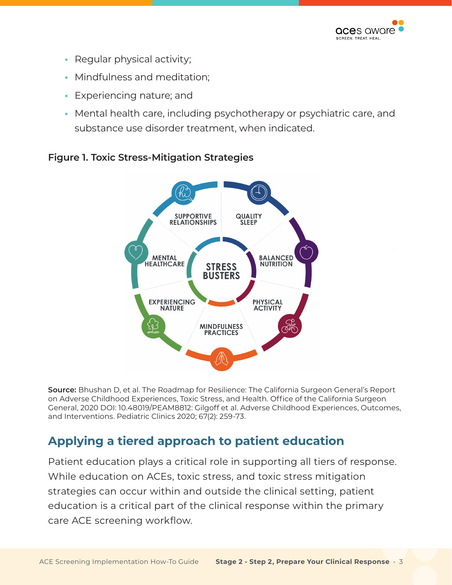

- Regular physical activity;
- Mindfulness and meditation;
- Experiencing nature; and
- Mental health care, including psychotherapy or psychiatric care, and substance use disorder treatment, when indicated.



#### **Figure 1. Toxic Stress-Mitigation Strategies**

**Source:** Bhushan D, et al. The Roadmap for Resilience: The California Surgeon General's Report on Adverse Childhood Experiences, Toxic Stress, and Health. Office of the California Surgeon General, 2020 DOI: 10.48019/PEAM8812: Gilgoff et al. Adverse Childhood Experiences, Outcomes, and Interventions. Pediatric Clinics 2020; 67(2): 259-73.

# **Applying a tiered approach to patient education**

Patient education plays a critical role in supporting all tiers of response. While education on ACEs, toxic stress, and toxic stress mitigation strategies can occur within and outside the clinical setting, patient education is a critical part of the clinical response within the primary care ACE screening workflow.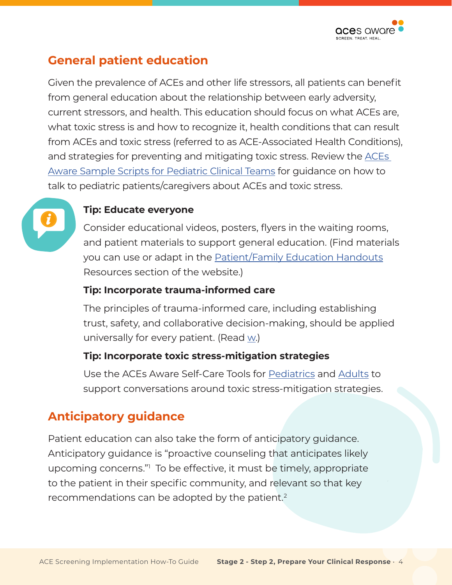

# **General patient education**

Given the prevalence of ACEs and other life stressors, all patients can benefit from general education about the relationship between early adversity, current stressors, and health. This education should focus on what ACEs are, what toxic stress is and how to recognize it, health conditions that can result from ACEs and toxic stress (referred to as ACE-Associated Health Conditions), and strategies for preventing and mitigating toxic stress. Review the [ACEs](https://www.acesaware.org/wp-content/uploads/2021/09/ACEs-Aware-Sample-Scripts-for-Pediatric-Clinical-Teams.pdf)  [Aware Sample Scripts for Pediatric Clinical Teams](https://www.acesaware.org/wp-content/uploads/2021/09/ACEs-Aware-Sample-Scripts-for-Pediatric-Clinical-Teams.pdf) for guidance on how to talk to pediatric patients/caregivers about ACEs and toxic stress.



#### **Tip: Educate everyone**

Consider educational videos, posters, flyers in the waiting rooms, and patient materials to support general education. (Find materials you can use or adapt in the [Patient/Family Education Handouts](https://www.acesaware.org/resources/resources-by-type/patient-family-education-handouts-2/) Resources section of the website.)

#### **Tip: Incorporate trauma-informed care**

The principles of trauma-informed care, including establishing trust, safety, and collaborative decision-making, should be applied universally for every patient. (Read w.)

#### **Tip: Incorporate toxic stress-mitigation strategies**

Use the ACEs Aware Self-Care Tools for [Pediatrics](https://www.acesaware.org/wp-content/uploads/2019/12/Self-Care-Tool-for-Pediatrics.pdf) and [Adults](https://www.acesaware.org/wp-content/uploads/2019/12/Self-Care-Tool-for-Adults.pdf) to support conversations around toxic stress-mitigation strategies.

# **Anticipatory guidance**

Patient education can also take the form of anticipatory guidance. Anticipatory guidance is "proactive counseling that anticipates likely upcoming concerns."[1](#page-19-0) To be effective, it must be timely, appropriate to the patient in their specific community, and relevant so that key recommendations can be adopted by the patient. $2$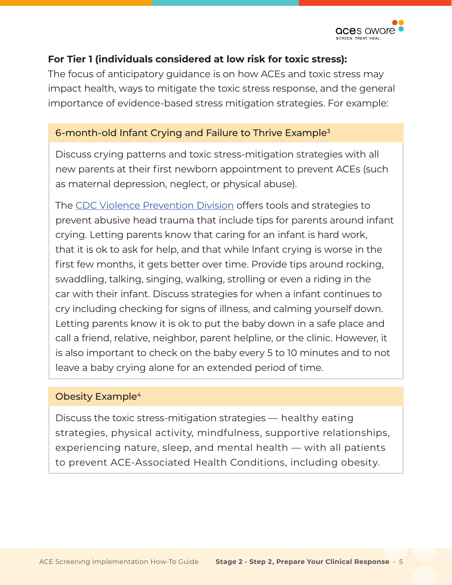

#### **For Tier 1 (individuals considered at low risk for toxic stress):**

The focus of anticipatory guidance is on how ACEs and toxic stress may impact health, ways to mitigate the toxic stress response, and the general importance of evidence-based stress mitigation strategies. For example:

#### 6-month-old Infant Crying and Failure to Thrive Exampl[e3](#page-19-0)

Discuss crying patterns and toxic stress-mitigation strategies with all new parents at their first newborn appointment to prevent ACEs (such as maternal depression, neglect, or physical abuse).

The [CDC Violence Prevention Division](https://www.cdc.gov/violenceprevention/childabuseandneglect/Abusive-Head-Trauma.html) offers tools and strategies to prevent abusive head trauma that include tips for parents around infant crying. Letting parents know that caring for an infant is hard work, that it is ok to ask for help, and that while Infant crying is worse in the first few months, it gets better over time. Provide tips around rocking, swaddling, talking, singing, walking, strolling or even a riding in the car with their infant. Discuss strategies for when a infant continues to cry including checking for signs of illness, and calming yourself down. Letting parents know it is ok to put the baby down in a safe place and call a friend, relative, neighbor, parent helpline, or the clinic. However, it is also important to check on the baby every 5 to 10 minutes and to not leave a baby crying alone for an extended period of time.

#### Obesity Example<sup>[4](#page-19-0)</sup>

Discuss the toxic stress-mitigation strategies — healthy eating strategies, physical activity, mindfulness, supportive relationships, experiencing nature, sleep, and mental health — with all patients to prevent ACE-Associated Health Conditions, including obesity.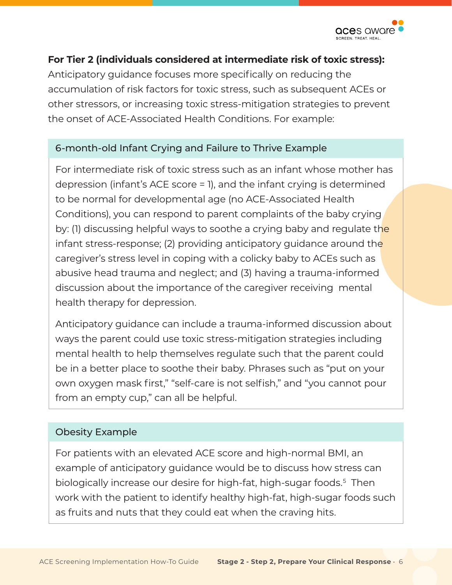

#### **For Tier 2 (individuals considered at intermediate risk of toxic stress):**

Anticipatory guidance focuses more specifically on reducing the accumulation of risk factors for toxic stress, such as subsequent ACEs or other stressors, or increasing toxic stress-mitigation strategies to prevent the onset of ACE-Associated Health Conditions. For example:

#### 6-month-old Infant Crying and Failure to Thrive Example

For intermediate risk of toxic stress such as an infant whose mother has depression (infant's ACE score = 1), and the infant crying is determined to be normal for developmental age (no ACE-Associated Health Conditions), you can respond to parent complaints of the baby crying by: (1) discussing helpful ways to soothe a crying baby and regulate the infant stress-response; (2) providing anticipatory quidance around the caregiver's stress level in coping with a colicky baby to ACEs such as abusive head trauma and neglect; and (3) having a trauma-informed discussion about the importance of the caregiver receiving mental health therapy for depression.

Anticipatory guidance can include a trauma-informed discussion about ways the parent could use toxic stress-mitigation strategies including mental health to help themselves regulate such that the parent could be in a better place to soothe their baby. Phrases such as "put on your own oxygen mask first," "self-care is not selfish," and "you cannot pour from an empty cup," can all be helpful.

#### Obesity Example

For patients with an elevated ACE score and high-normal BMI, an example of anticipatory guidance would be to discuss how stress can biologically increase our desire for high-fat, high-sugar foods.<sup>[5](#page-19-0)</sup> Then work with the patient to identify healthy high-fat, high-sugar foods such as fruits and nuts that they could eat when the craving hits.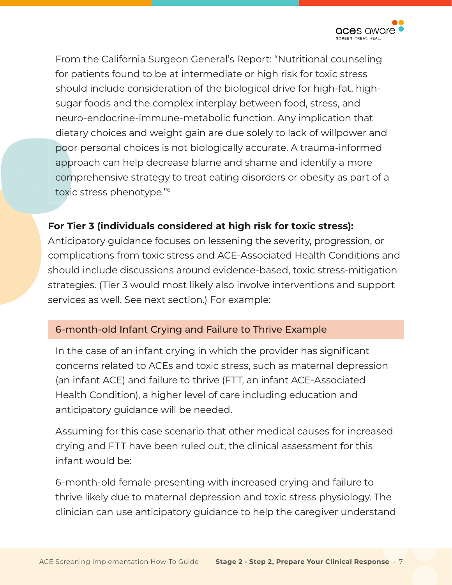

From the California Surgeon General's Report: "Nutritional counseling for patients found to be at intermediate or high risk for toxic stress should include consideration of the biological drive for high-fat, highsugar foods and the complex interplay between food, stress, and neuro-endocrine-immune-metabolic function. Any implication that dietary choices and weight gain are due solely to lack of willpower and poor personal choices is not biologically accurate. A trauma-informed approach can help decrease blame and shame and identify a more comprehensive strategy to treat eating disorders or obesity as part of a toxic stress phenotype.["6](#page-19-0)

#### **For Tier 3 (individuals considered at high risk for toxic stress):**

Anticipatory guidance focuses on lessening the severity, progression, or complications from toxic stress and ACE-Associated Health Conditions and should include discussions around evidence-based, toxic stress-mitigation strategies. (Tier 3 would most likely also involve interventions and support services as well. See next section.) For example:

#### 6-month-old Infant Crying and Failure to Thrive Example

In the case of an infant crying in which the provider has significant concerns related to ACEs and toxic stress, such as maternal depression (an infant ACE) and failure to thrive (FTT, an infant ACE-Associated Health Condition), a higher level of care including education and anticipatory guidance will be needed.

Assuming for this case scenario that other medical causes for increased crying and FTT have been ruled out, the clinical assessment for this infant would be:

6-month-old female presenting with increased crying and failure to thrive likely due to maternal depression and toxic stress physiology. The clinician can use anticipatory guidance to help the caregiver understand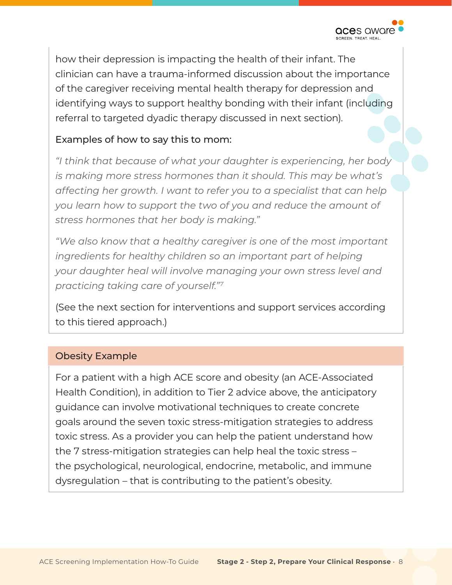

how their depression is impacting the health of their infant. The clinician can have a trauma-informed discussion about the importance of the caregiver receiving mental health therapy for depression and identifying ways to support healthy bonding with their infant (including referral to targeted dyadic therapy discussed in next section).

#### Examples of how to say this to mom:

*"I think that because of what your daughter is experiencing, her body is making more stress hormones than it should. This may be what's affecting her growth. I want to refer you to a specialist that can help you learn how to support the two of you and reduce the amount of stress hormones that her body is making."*

*"We also know that a healthy caregiver is one of the most important ingredients for healthy children so an important part of helping your daughter heal will involve managing your own stress level and practicing taking care of yourself."[7](#page-19-0)*

(See the next section for interventions and support services according to this tiered approach.)

#### Obesity Example

For a patient with a high ACE score and obesity (an ACE-Associated Health Condition), in addition to Tier 2 advice above, the anticipatory guidance can involve motivational techniques to create concrete goals around the seven toxic stress-mitigation strategies to address toxic stress. As a provider you can help the patient understand how the 7 stress-mitigation strategies can help heal the toxic stress – the psychological, neurological, endocrine, metabolic, and immune dysregulation – that is contributing to the patient's obesity.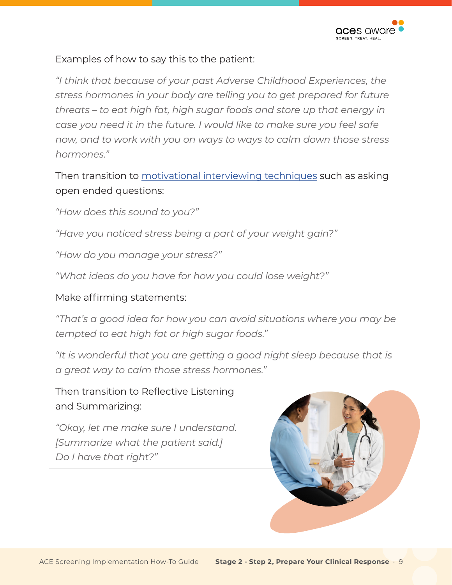

#### Examples of how to say this to the patient:

*"I think that because of your past Adverse Childhood Experiences, the stress hormones in your body are telling you to get prepared for future threats – to eat high fat, high sugar foods and store up that energy in case you need it in the future. I would like to make sure you feel safe now, and to work with you on ways to ways to calm down those stress hormones."* 

Then transition to [motivational interviewing techniques](https://www.aap.org/en/patient-care/healthy-active-living-for-families/communicating-with-families/) such as asking open ended questions:

*"How does this sound to you?"*

*"Have you noticed stress being a part of your weight gain?"*

*"How do you manage your stress?"* 

*"What ideas do you have for how you could lose weight?"* 

#### Make affirming statements:

*"That's a good idea for how you can avoid situations where you may be tempted to eat high fat or high sugar foods."* 

*"It is wonderful that you are getting a good night sleep because that is a great way to calm those stress hormones."* 

Then transition to Reflective Listening and Summarizing:

*"Okay, let me make sure I understand. [Summarize what the patient said.] Do I have that right?"*

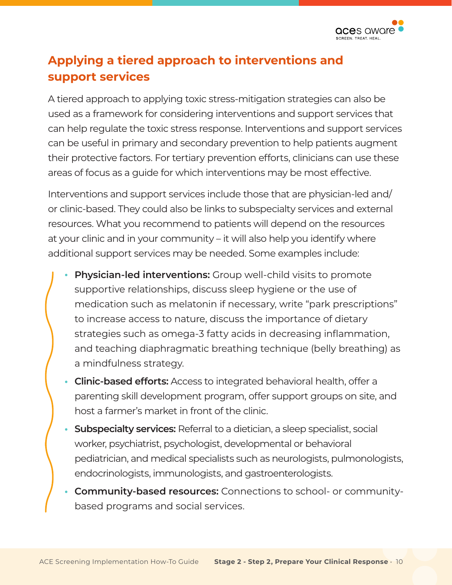

# **Applying a tiered approach to interventions and support services**

A tiered approach to applying toxic stress-mitigation strategies can also be used as a framework for considering interventions and support services that can help regulate the toxic stress response. Interventions and support services can be useful in primary and secondary prevention to help patients augment their protective factors. For tertiary prevention efforts, clinicians can use these areas of focus as a guide for which interventions may be most effective.

Interventions and support services include those that are physician-led and/ or clinic-based. They could also be links to subspecialty services and external resources. What you recommend to patients will depend on the resources at your clinic and in your community – it will also help you identify where additional support services may be needed. Some examples include:

- **• Physician-led interventions:** Group well-child visits to promote supportive relationships, discuss sleep hygiene or the use of medication such as melatonin if necessary, write "park prescriptions" to increase access to nature, discuss the importance of dietary strategies such as omega-3 fatty acids in decreasing inflammation, and teaching diaphragmatic breathing technique (belly breathing) as a mindfulness strategy.
- **• Clinic-based efforts:** Access to integrated behavioral health, offer a parenting skill development program, offer support groups on site, and host a farmer's market in front of the clinic.
- **• Subspecialty services:** Referral to a dietician, a sleep specialist, social worker, psychiatrist, psychologist, developmental or behavioral pediatrician, and medical specialists such as neurologists, pulmonologists, endocrinologists, immunologists, and gastroenterologists.
- **• Community-based resources:** Connections to school- or communitybased programs and social services.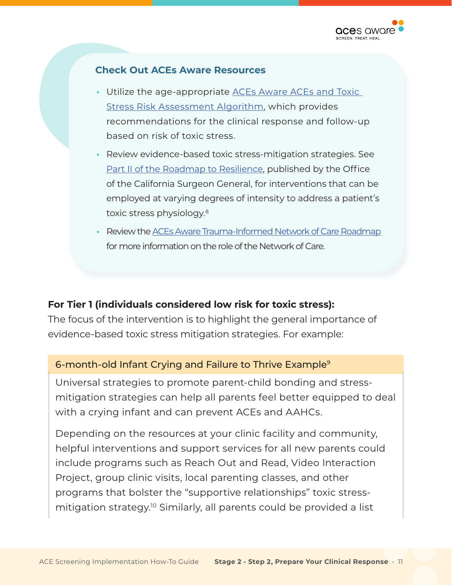

#### **Check Out ACEs Aware Resources**

- Utilize the age-appropriate **ACEs Aware ACEs and Toxic** [Stress Risk Assessment Algorithm](https://www.acesaware.org/wp-content/uploads/2019/12/ACE-Clinical-Workflows-Algorithms-and-ACE-Associated-Health-Conditions.pdf), which provides recommendations for the clinical response and follow-up based on risk of toxic stress.
- **•** Review evidence-based toxic stress-mitigation strategies. See [Part II of the Roadmap to Resilience](https://osg.ca.gov/wp-content/uploads/sites/266/2020/12/Part-II-3.-Tertiary-Prevention-Strategies-in-Healthcare.pdf), published by the Office of the California Surgeon General, for interventions that can be employed at varying degrees of intensity to address a patient's toxic stress physiology[.8](#page-19-0)
- Review the [ACEs Aware Trauma-Informed Network of Care Roadmap](https://www.acesaware.org/wp-content/uploads/2021/06/Aces-Aware-Network-of-Care-Roadmap.pdf) for more information on the role of the Network of Care.

#### **For Tier 1 (individuals considered low risk for toxic stress):**

The focus of the intervention is to highlight the general importance of evidence-based toxic stress mitigation strategies. For example:

#### 6-month-old Infant Crying and Failure to Thrive Example<sup>9</sup>

Universal strategies to promote parent-child bonding and stressmitigation strategies can help all parents feel better equipped to deal with a crying infant and can prevent ACEs and AAHCs.

Depending on the resources at your clinic facility and community, helpful interventions and support services for all new parents could include programs such as Reach Out and Read, Video Interaction Project, group clinic visits, local parenting classes, and other programs that bolster the "supportive relationships" toxic stressmitigation strategy.<sup>10</sup> Similarly, all parents could be provided a list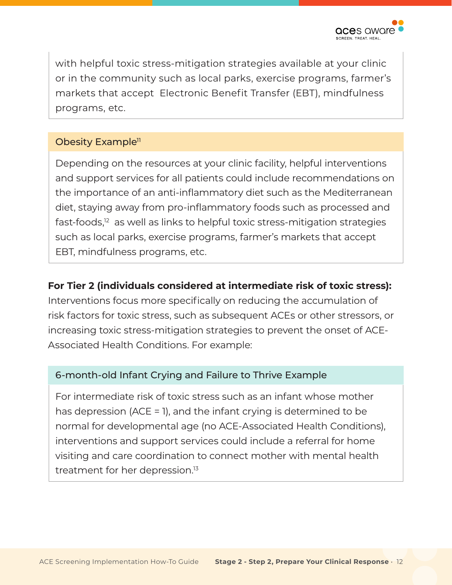

with helpful toxic stress-mitigation strategies available at your clinic or in the community such as local parks, exercise programs, farmer's markets that accept Electronic Benefit Transfer (EBT), mindfulness programs, etc.

#### Obesity Example<sup>11</sup>

Depending on the resources at your clinic facility, helpful interventions and support services for all patients could include recommendations on the importance of an anti-inflammatory diet such as the Mediterranean diet, staying away from pro-inflammatory foods such as processed and fast-foods,<sup>12</sup> as well as links to helpful toxic stress-mitigation strategies such as local parks, exercise programs, farmer's markets that accept EBT, mindfulness programs, etc.

#### **For Tier 2 (individuals considered at intermediate risk of toxic stress):**

Interventions focus more specifically on reducing the accumulation of risk factors for toxic stress, such as subsequent ACEs or other stressors, or increasing toxic stress-mitigation strategies to prevent the onset of ACE-Associated Health Conditions. For example:

#### 6-month-old Infant Crying and Failure to Thrive Example

For intermediate risk of toxic stress such as an infant whose mother has depression (ACE = 1), and the infant crying is determined to be normal for developmental age (no ACE-Associated Health Conditions), interventions and support services could include a referral for home visiting and care coordination to connect mother with mental health treatment for her depression[.13](#page-20-0)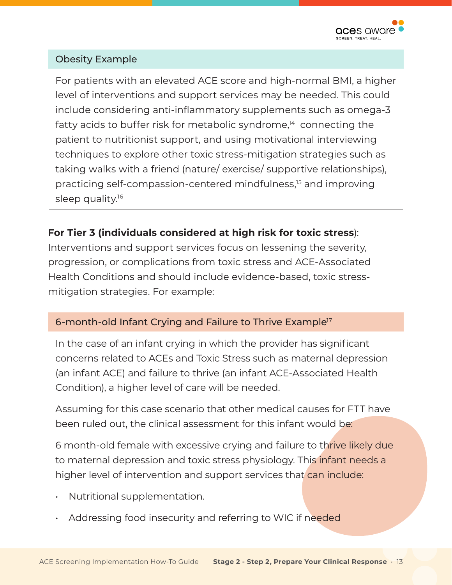

#### Obesity Example

For patients with an elevated ACE score and high-normal BMI, a higher level of interventions and support services may be needed. This could include considering anti-inflammatory supplements such as omega-3 fatty acids to buffer risk for metabolic syndrome, $14$  connecting the patient to nutritionist support, and using motivational interviewing techniques to explore other toxic stress-mitigation strategies such as taking walks with a friend (nature/ exercise/ supportive relationships), practicing self-compassion-centered mindfulness[,15](#page-20-0) and improving sleep quality.<sup>16</sup>

#### **For Tier 3 (individuals considered at high risk for toxic stress**):

Interventions and support services focus on lessening the severity, progression, or complications from toxic stress and ACE-Associated Health Conditions and should include evidence-based, toxic stressmitigation strategies. For example:

#### 6-month-old Infant Crying and Failure to Thrive Example<sup>17</sup>

In the case of an infant crying in which the provider has significant concerns related to ACEs and Toxic Stress such as maternal depression (an infant ACE) and failure to thrive (an infant ACE-Associated Health Condition), a higher level of care will be needed.

Assuming for this case scenario that other medical causes for FTT have been ruled out, the clinical assessment for this infant would be:

6 month-old female with excessive crying and failure to thrive likely due to maternal depression and toxic stress physiology. This infant needs a higher level of intervention and support services that can include:

- Nutritional supplementation.
- Addressing food insecurity and referring to WIC if needed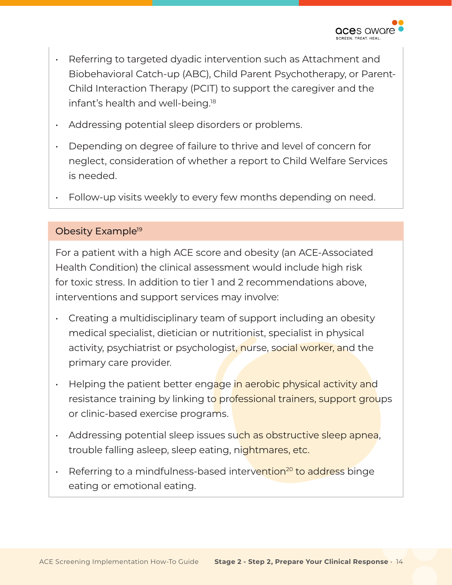

- <span id="page-13-0"></span>• Referring to targeted dyadic intervention such as Attachment and Biobehavioral Catch-up (ABC), Child Parent Psychotherapy, or Parent-Child Interaction Therapy (PCIT) to support the caregiver and the infant's health and well-being.<sup>18</sup>
- Addressing potential sleep disorders or problems.
- Depending on degree of failure to thrive and level of concern for neglect, consideration of whether a report to Child Welfare Services is needed.
- Follow-up visits weekly to every few months depending on need.

#### Obesity Example<sup>19</sup>

For a patient with a high ACE score and obesity (an ACE-Associated Health Condition) the clinical assessment would include high risk for toxic stress. In addition to tier 1 and 2 recommendations above, interventions and support services may involve:

- Creating a multidisciplinary team of support including an obesity medical specialist, dietician or nutritionist, specialist in physical activity, psychiatrist or psychologist, nurse, social worker, and the primary care provider.
- Helping the patient better engage in aerobic physical activity and resistance training by linking to professional trainers, support groups or clinic-based exercise programs.
- Addressing potential sleep issues such as obstructive sleep apnea, trouble falling asleep, sleep eating, nightmares, etc.
- Referring to a mindfulness-based intervention<sup>[20](#page-20-0)</sup> to address binge eating or emotional eating.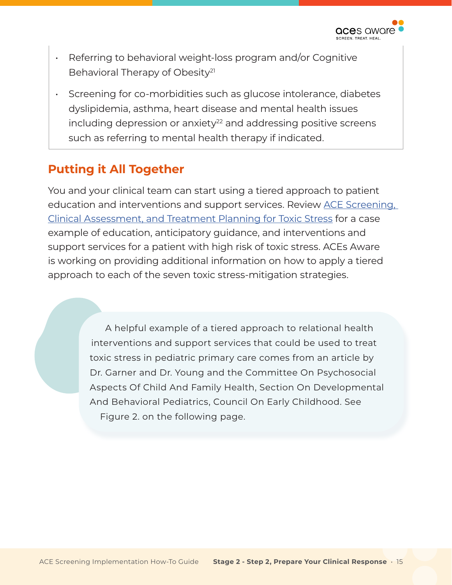

- Referring to behavioral weight-loss program and/or Cognitive Behavioral Therapy of Obesity<sup>21</sup>
- Screening for co-morbidities such as glucose intolerance, diabetes dyslipidemia, asthma, heart disease and mental health issues  $including$  depression or anxiety<sup>22</sup> and addressing positive screens such as referring to mental health therapy if indicated.

## **Putting it All Together**

You and your clinical team can start using a tiered approach to patient education and interventions and support services. Review [ACE Screening,](https://www.acesaware.org/wp-content/uploads/2021/09/ACE-Screening-Clinical-Assessment-and-Treatment-Planning-for-Toxic-Stress.pdf)  [Clinical Assessment, and Treatment Planning for Toxic Stress](https://www.acesaware.org/wp-content/uploads/2021/09/ACE-Screening-Clinical-Assessment-and-Treatment-Planning-for-Toxic-Stress.pdf) for a case example of education, anticipatory guidance, and interventions and support services for a patient with high risk of toxic stress. ACEs Aware is working on providing additional information on how to apply a tiered approach to each of the seven toxic stress-mitigation strategies.

> A helpful example of a tiered approach to relational health interventions and support services that could be used to treat toxic stress in pediatric primary care comes from an article by Dr. Garner and Dr. Young and the Committee On Psychosocial Aspects Of Child And Family Health, Section On Developmental And Behavioral Pediatrics, Council On Early Childhood. See Figure 2. on the following page.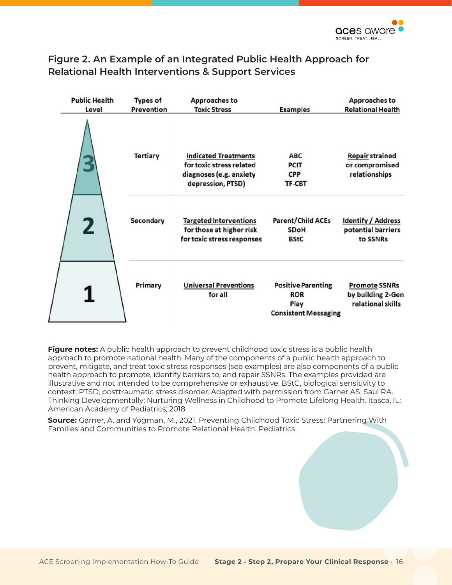#### **Figure 2. An Example of an Integrated Public Health Approach for Relational Health Interventions & Support Services**

| <b>Public Health</b><br>Level | <b>Types of</b><br>Prevention | Approaches to<br><b>Toxic Stress</b>                                                                    | <b>Examples</b>                                                                | Approaches to<br><b>Relational Health</b>                      |
|-------------------------------|-------------------------------|---------------------------------------------------------------------------------------------------------|--------------------------------------------------------------------------------|----------------------------------------------------------------|
|                               | Tertiary                      | <b>Indicated Treatments</b><br>for toxic stress related<br>diagnoses (e.g. anxiety<br>depression, PTSD) | <b>ABC</b><br><b>PCIT</b><br><b>CPP</b><br>TF-CBT                              | <b>Repair strained</b><br>or compromised<br>relationships      |
| 2                             | Secondary                     | <b>Targeted Interventions</b><br>for those at higher risk<br>for toxic stress responses                 | <b>Parent/Child ACEs</b><br><b>SDoH</b><br><b>BStC</b>                         | <b>Identify / Address</b><br>potential barriers<br>to SSNRs    |
|                               | Primary                       | <b>Universal Preventions</b><br>for all                                                                 | <b>Positive Parenting</b><br><b>ROR</b><br>Play<br><b>Consistent Messaging</b> | <b>Promote SSNRs</b><br>by building 2-Gen<br>relational skills |

**Figure notes:** A public health approach to prevent childhood toxic stress is a public health approach to promote national health. Many of the components of a public health approach to prevent, mitigate, and treat toxic stress responses (see examples) are also components of a public health approach to promote, identify barriers to, and repair SSNRs. The examples provided are illustrative and not intended to be comprehensive or exhaustive. BStC, biological sensitivity to context; PTSD, posttraumatic stress disorder. Adapted with permission from Garner AS, Saul RA. Thinking Developmentally: Nurturing Wellness in Childhood to Promote Lifelong Health. Itasca, IL: American Academy of Pediatrics; 2018

**Source:** Garner, A. and Yogman, M., 2021. Preventing Childhood Toxic Stress: Partnering With Families and Communities to Promote Relational Health. Pediatrics.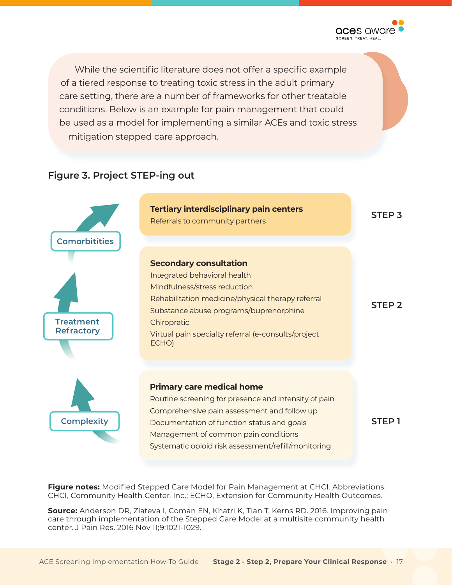

While the scientific literature does not offer a specific example of a tiered response to treating toxic stress in the adult primary care setting, there are a number of frameworks for other treatable conditions. Below is an example for pain management that could be used as a model for implementing a similar ACEs and toxic stress mitigation stepped care approach.

#### **Figure 3. Project STEP-ing out**



**Figure notes:** Modified Stepped Care Model for Pain Management at CHCI. Abbreviations: CHCI, Community Health Center, Inc.; ECHO, Extension for Community Health Outcomes.

**Source:** Anderson DR, Zlateva I, Coman EN, Khatri K, Tian T, Kerns RD. 2016. Improving pain care through implementation of the Stepped Care Model at a multisite community health center. J Pain Res. 2016 Nov 11;9:1021-1029.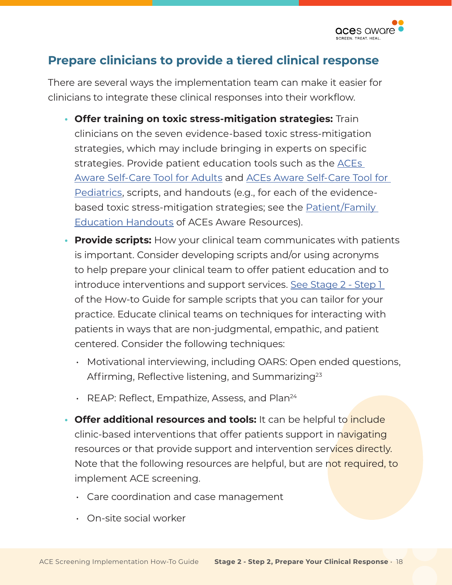

## **Prepare clinicians to provide a tiered clinical response**

There are several ways the implementation team can make it easier for clinicians to integrate these clinical responses into their workflow.

- **Offer training on toxic stress-mitigation strategies:** Train clinicians on the seven evidence-based toxic stress-mitigation strategies, which may include bringing in experts on specific strategies. Provide patient education tools such as the [ACEs](https://www.acesaware.org/wp-content/uploads/2019/12/Self-Care-Tool-for-Adults.pdf)  [Aware Self-Care Tool for Adults](https://www.acesaware.org/wp-content/uploads/2019/12/Self-Care-Tool-for-Adults.pdf) and [ACEs Aware Self-Care Tool for](https://www.acesaware.org/wp-content/uploads/2019/12/Self-Care-Tool-for-Pediatrics.pdf)  [Pediatrics,](https://www.acesaware.org/wp-content/uploads/2019/12/Self-Care-Tool-for-Pediatrics.pdf) scripts, and handouts (e.g., for each of the evidencebased toxic stress-mitigation strategies; see the [Patient/Family](https://www.acesaware.org/resources/resources-by-type/patient-family-education-handouts-2/)  [Education Handouts](https://www.acesaware.org/resources/resources-by-type/patient-family-education-handouts-2/) of ACEs Aware Resources).
- **• Provide scripts:** How your clinical team communicates with patients is important. Consider developing scripts and/or using acronyms to help prepare your clinical team to offer patient education and to introduce interventions and support services. [See Stage 2 - Step 1](https://www.acesaware.org/implement-screening/stage-2-select-approach/step-1-determine-who-and-how-you-will-screen/)  of the How-to Guide for sample scripts that you can tailor for your practice. Educate clinical teams on techniques for interacting with patients in ways that are non-judgmental, empathic, and patient centered. Consider the following techniques:
	- Motivational interviewing, including OARS: Open ended questions, Affirming, Reflective listening, and Summarizing<sup>[23](#page-20-0)</sup>
	- $\cdot$  REAP: Reflect, Empathize, Assess, and Plan<sup>24</sup>
- **Offer additional resources and tools:** It can be helpful to *include* clinic-based interventions that offer patients support in navigating resources or that provide support and intervention services directly. Note that the following resources are helpful, but are not required, to implement ACE screening.
	- Care coordination and case management
	- On-site social worker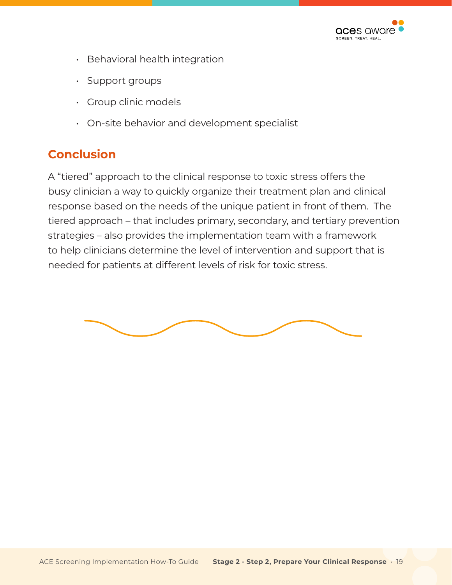

- Behavioral health integration
- Support groups
- Group clinic models
- On-site behavior and development specialist

## **Conclusion**

A "tiered" approach to the clinical response to toxic stress offers the busy clinician a way to quickly organize their treatment plan and clinical response based on the needs of the unique patient in front of them. The tiered approach – that includes primary, secondary, and tertiary prevention strategies – also provides the implementation team with a framework to help clinicians determine the level of intervention and support that is needed for patients at different levels of risk for toxic stress.

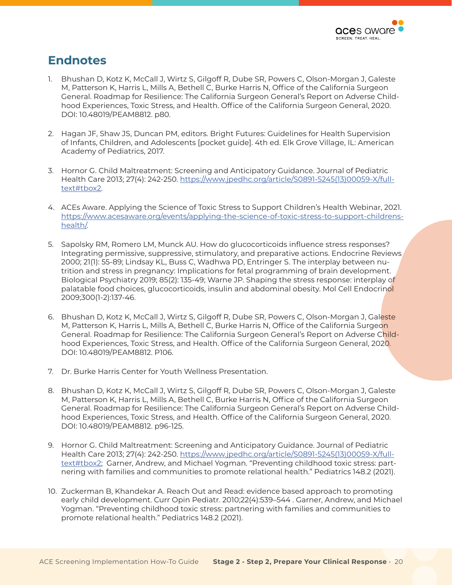

## <span id="page-19-0"></span>**Endnotes**

- 1. Bhushan D, Kotz K, McCall J, Wirtz S, Gilgoff R, Dube SR, Powers C, Olson-Morgan J, Galeste M, Patterson K, Harris L, Mills A, Bethell C, Burke Harris N, Office of the California Surgeon General. Roadmap for Resilience: The California Surgeon General's Report on Adverse Childhood Experiences, Toxic Stress, and Health. Office of the California Surgeon General, 2020. DOI: 10.48019/PEAM8812. p80.
- 2. Hagan JF, Shaw JS, Duncan PM, editors. Bright Futures: Guidelines for Health Supervision of Infants, Children, and Adolescents [pocket guide]. 4th ed. Elk Grove Village, IL: American Academy of Pediatrics, 2017.
- 3. Hornor G. Child Maltreatment: Screening and Anticipatory Guidance. Journal of Pediatric Health Care 2013; 27(4): 242-250. [https://www.jpedhc.org/article/S0891-5245\(13\)00059-X/full](https://www.jpedhc.org/article/S0891-5245(13)00059-X/fulltext#tbox2)[text#tbox2](https://www.jpedhc.org/article/S0891-5245(13)00059-X/fulltext#tbox2).
- 4. ACEs Aware. Applying the Science of Toxic Stress to Support Children's Health Webinar, 2021. [https://www.acesaware.org/events/applying-the-science-of-toxic-stress-to-support-childrens](https://www.acesaware.org/events/applying-the-science-of-toxic-stress-to-support-childrens-health/)[health/](https://www.acesaware.org/events/applying-the-science-of-toxic-stress-to-support-childrens-health/).
- 5. Sapolsky RM, Romero LM, Munck AU. How do glucocorticoids influence stress responses? Integrating permissive, suppressive, stimulatory, and preparative actions. Endocrine Reviews 2000; 21(1): 55-89; Lindsay KL, Buss C, Wadhwa PD, Entringer S. The interplay between nutrition and stress in pregnancy: Implications for fetal programming of brain development. Biological Psychiatry 2019; 85(2): 135-49; Warne JP. Shaping the stress response: interplay of palatable food choices, glucocorticoids, insulin and abdominal obesity. Mol Cell Endocrinol 2009;300(1-2):137-46.
- 6. Bhushan D, Kotz K, McCall J, Wirtz S, Gilgoff R, Dube SR, Powers C, Olson-Morgan J, Galeste M, Patterson K, Harris L, Mills A, Bethell C, Burke Harris N, Office of the California Surgeon General. Roadmap for Resilience: The California Surgeon General's Report on Adverse Childhood Experiences, Toxic Stress, and Health. Office of the California Surgeon General, 2020. DOI: 10.48019/PEAM8812. P106.
- 7. Dr. Burke Harris Center for Youth Wellness Presentation.
- 8. Bhushan D, Kotz K, McCall J, Wirtz S, Gilgoff R, Dube SR, Powers C, Olson-Morgan J, Galeste M, Patterson K, Harris L, Mills A, Bethell C, Burke Harris N, Office of the California Surgeon General. Roadmap for Resilience: The California Surgeon General's Report on Adverse Childhood Experiences, Toxic Stress, and Health. Office of the California Surgeon General, 2020. DOI: 10.48019/PEAM8812. p96-125.
- 9. Hornor G. Child Maltreatment: Screening and Anticipatory Guidance. Journal of Pediatric Health Care 2013; 27(4): 242-250. [https://www.jpedhc.org/article/S0891-5245\(13\)00059-X/full](https://www.jpedhc.org/article/S0891-5245(13)00059-X/fulltext#tbox2)[text#tbox2](https://www.jpedhc.org/article/S0891-5245(13)00059-X/fulltext#tbox2); Garner, Andrew, and Michael Yogman. "Preventing childhood toxic stress: partnering with families and communities to promote relational health." Pediatrics 148.2 (2021).
- 10. Zuckerman B, Khandekar A. Reach Out and Read: evidence based approach to promoting early child development. Curr Opin Pediatr. 2010;22(4):539–544 . Garner, Andrew, and Michael Yogman. "Preventing childhood toxic stress: partnering with families and communities to promote relational health." Pediatrics 148.2 (2021).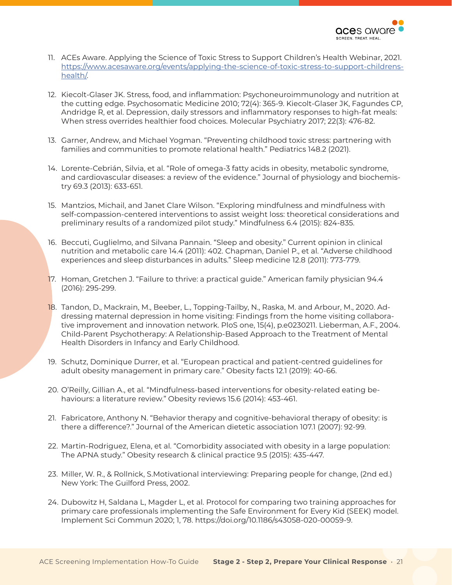

- <span id="page-20-0"></span>11. ACEs Aware. Applying the Science of Toxic Stress to Support Children's Health Webinar, 2021. [https://www.acesaware.org/events/applying-the-science-of-toxic-stress-to-support-childrens](https://www.acesaware.org/events/applying-the-science-of-toxic-stress-to-support-childrens-health/)[health/](https://www.acesaware.org/events/applying-the-science-of-toxic-stress-to-support-childrens-health/).
- 12. Kiecolt-Glaser JK. Stress, food, and inflammation: Psychoneuroimmunology and nutrition at the cutting edge. Psychosomatic Medicine 2010; 72(4): 365-9. Kiecolt-Glaser JK, Fagundes CP, Andridge R, et al. Depression, daily stressors and inflammatory responses to high-fat meals: When stress overrides healthier food choices. Molecular Psychiatry 2017; 22(3): 476-82.
- 13. Garner, Andrew, and Michael Yogman. "Preventing childhood toxic stress: partnering with families and communities to promote relational health." Pediatrics 148.2 (2021).
- 14. Lorente-Cebrián, Silvia, et al. "Role of omega-3 fatty acids in obesity, metabolic syndrome, and cardiovascular diseases: a review of the evidence." Journal of physiology and biochemistry 69.3 (2013): 633-651.
- 15. Mantzios, Michail, and Janet Clare Wilson. "Exploring mindfulness and mindfulness with self-compassion-centered interventions to assist weight loss: theoretical considerations and preliminary results of a randomized pilot study." Mindfulness 6.4 (2015): 824-835.
- 16. Beccuti, Guglielmo, and Silvana Pannain. "Sleep and obesity." Current opinion in clinical nutrition and metabolic care 14.4 (2011): 402. Chapman, Daniel P., et al. "Adverse childhood experiences and sleep disturbances in adults." Sleep medicine 12.8 (2011): 773-779.
- 17. Homan, Gretchen J. "Failure to thrive: a practical guide." American family physician 94.4 (2016): 295-299.
- 18. Tandon, D., Mackrain, M., Beeber, L., Topping-Tailby, N., Raska, M. and Arbour, M., 2020. Addressing maternal depression in home visiting: Findings from the home visiting collaborative improvement and innovation network. PloS one, 15(4), p.e0230211. Lieberman, A.F., 2004. Child-Parent Psychotherapy: A Relationship-Based Approach to the Treatment of Mental Health Disorders in Infancy and Early Childhood.
- 19. Schutz, Dominique Durrer, et al. "European practical and patient-centred guidelines for adult obesity management in primary care." Obesity facts 12.1 (2019): 40-66.
- 20. O'Reilly, Gillian A., et al. "Mindfulness-based interventions for obesity-related eating behaviours: a literature review." Obesity reviews 15.6 (2014): 453-461.
- 21. Fabricatore, Anthony N. "Behavior therapy and cognitive-behavioral therapy of obesity: is there a difference?." Journal of the American dietetic association 107.1 (2007): 92-99.
- 22. Martin-Rodriguez, Elena, et al. "Comorbidity associated with obesity in a large population: The APNA study." Obesity research & clinical practice 9.5 (2015): 435-447.
- 23. Miller, W. R., & Rollnick, S.Motivational interviewing: Preparing people for change, (2nd ed.) New York: The Guilford Press, 2002.
- 24. Dubowitz H, Saldana L, Magder L, et al. Protocol for comparing two training approaches for primary care professionals implementing the Safe Environment for Every Kid (SEEK) model. Implement Sci Commun 2020; 1, 78. [https://doi.org/10.1186/s43058-020-00059-9.](https://doi.org/10.1186/s43058-020-00059-9)